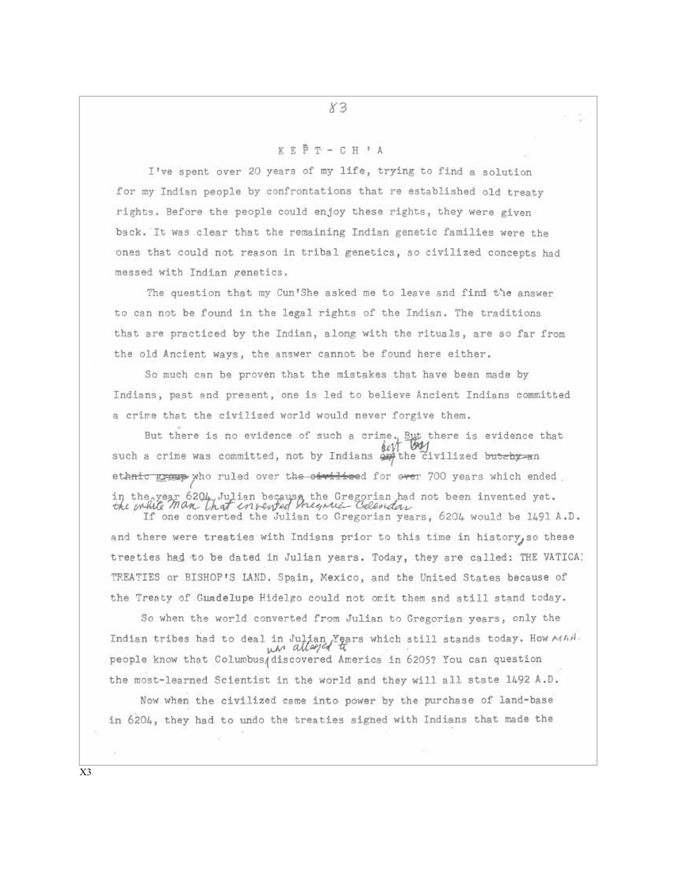## KEPT-CH'A

I've spent over 20 years of my life, trying to find a solution for my Indian people by confrontations that re established old treaty rights. Before the people could enjoy these rights, they were given back. It was clear that the remaining Indian genetic families were the ones that could not reason in tribal genetics, so civilized concepts had messed with Indian genetics.

The question that my Cun'She asked me to leave and find the answer to can not be found in the legal rights of the Indian. The traditions that are practiced by the Indian, along with the rituals, are so far from the old Ancient ways, the answer cannot be found here either.

So much can be proven that the mistakes that have been made by Indians, past and present, one is led to believe Ancient Indians committed a crime that the civilized world would never forgive them.

But there is no evidence of such a crime, But there is evidence that  $\oint_C \psi V$ such a crime was committed, not by Indians  $\frac{\partial \mathbf{w}}{\partial x}$  the civilized but-by-an ethnic gramp who ruled over the oirilised for over 700 years which ended in the year 6204 Julian because the Gregorian had not been invented yet.<br>the while Man that envented the suitant Celerian

and there were treaties with Indians prior to this time in history, so these treaties had to be dated in Julian years. Today, they are called: THE VATICA! TREATIES or BISHOP'S LAND. Spain, Mexico, and the United States because of the Treaty of Guadelupe Hidelgo could not omit them and still stand today.

So when the world converted from Julian to Gregorian years, only the Indian tribes had to deal in Julian Years which still stands today. How MAN. people know that Columbus discovered America in 6205? You can question the most-learned Scientist in the world and they will all state 1492 A.D. Now when the civilized came into power by the purchase of land-base

in 6204, they had to undo the treaties signed with Indians that made the

X3